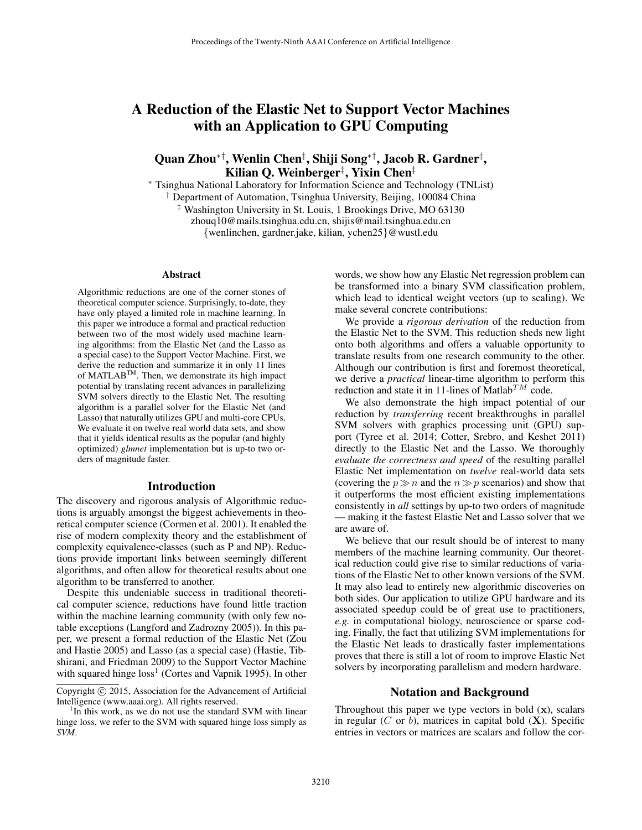# A Reduction of the Elastic Net to Support Vector Machines with an Application to GPU Computing

# Quan Zhou\*†, Wenlin Chen‡, Shiji Song\*†, Jacob R. Gardner‡, Kilian Q. Weinberger‡ , Yixin Chen‡

<sup>∗</sup> Tsinghua National Laboratory for Information Science and Technology (TNList) † Department of Automation, Tsinghua University, Beijing, 100084 China ‡ Washington University in St. Louis, 1 Brookings Drive, MO 63130 zhouq10@mails.tsinghua.edu.cn, shijis@mail.tsinghua.edu.cn {wenlinchen, gardner.jake, kilian, ychen25}@wustl.edu

#### Abstract

Algorithmic reductions are one of the corner stones of theoretical computer science. Surprisingly, to-date, they have only played a limited role in machine learning. In this paper we introduce a formal and practical reduction between two of the most widely used machine learning algorithms: from the Elastic Net (and the Lasso as a special case) to the Support Vector Machine. First, we derive the reduction and summarize it in only 11 lines of MATLABTM. Then, we demonstrate its high impact potential by translating recent advances in parallelizing SVM solvers directly to the Elastic Net. The resulting algorithm is a parallel solver for the Elastic Net (and Lasso) that naturally utilizes GPU and multi-core CPUs. We evaluate it on twelve real world data sets, and show that it yields identical results as the popular (and highly optimized) *glmnet* implementation but is up-to two orders of magnitude faster.

#### Introduction

The discovery and rigorous analysis of Algorithmic reductions is arguably amongst the biggest achievements in theoretical computer science (Cormen et al. 2001). It enabled the rise of modern complexity theory and the establishment of complexity equivalence-classes (such as P and NP). Reductions provide important links between seemingly different algorithms, and often allow for theoretical results about one algorithm to be transferred to another.

Despite this undeniable success in traditional theoretical computer science, reductions have found little traction within the machine learning community (with only few notable exceptions (Langford and Zadrozny 2005)). In this paper, we present a formal reduction of the Elastic Net (Zou and Hastie 2005) and Lasso (as a special case) (Hastie, Tibshirani, and Friedman 2009) to the Support Vector Machine with squared hinge  $loss<sup>1</sup>$  (Cortes and Vapnik 1995). In other

words, we show how any Elastic Net regression problem can be transformed into a binary SVM classification problem, which lead to identical weight vectors (up to scaling). We make several concrete contributions:

We provide a *rigorous derivation* of the reduction from the Elastic Net to the SVM. This reduction sheds new light onto both algorithms and offers a valuable opportunity to translate results from one research community to the other. Although our contribution is first and foremost theoretical, we derive a *practical* linear-time algorithm to perform this reduction and state it in 11-lines of  $\text{Matlab}^{TM}$  code.

We also demonstrate the high impact potential of our reduction by *transferring* recent breakthroughs in parallel SVM solvers with graphics processing unit (GPU) support (Tyree et al. 2014; Cotter, Srebro, and Keshet 2011) directly to the Elastic Net and the Lasso. We thoroughly *evaluate the correctness and speed* of the resulting parallel Elastic Net implementation on *twelve* real-world data sets (covering the  $p \gg n$  and the  $n \gg p$  scenarios) and show that it outperforms the most efficient existing implementations consistently in *all* settings by up-to two orders of magnitude — making it the fastest Elastic Net and Lasso solver that we are aware of.

We believe that our result should be of interest to many members of the machine learning community. Our theoretical reduction could give rise to similar reductions of variations of the Elastic Net to other known versions of the SVM. It may also lead to entirely new algorithmic discoveries on both sides. Our application to utilize GPU hardware and its associated speedup could be of great use to practitioners, *e.g.* in computational biology, neuroscience or sparse coding. Finally, the fact that utilizing SVM implementations for the Elastic Net leads to drastically faster implementations proves that there is still a lot of room to improve Elastic Net solvers by incorporating parallelism and modern hardware.

#### Notation and Background

Throughout this paper we type vectors in bold (**x**), scalars in regular  $(C \text{ or } b)$ , matrices in capital bold  $(X)$ . Specific entries in vectors or matrices are scalars and follow the cor-

Copyright  $\odot$  2015, Association for the Advancement of Artificial Intelligence (www.aaai.org). All rights reserved.

 $1$ In this work, as we do not use the standard SVM with linear hinge loss, we refer to the SVM with squared hinge loss simply as *SVM*.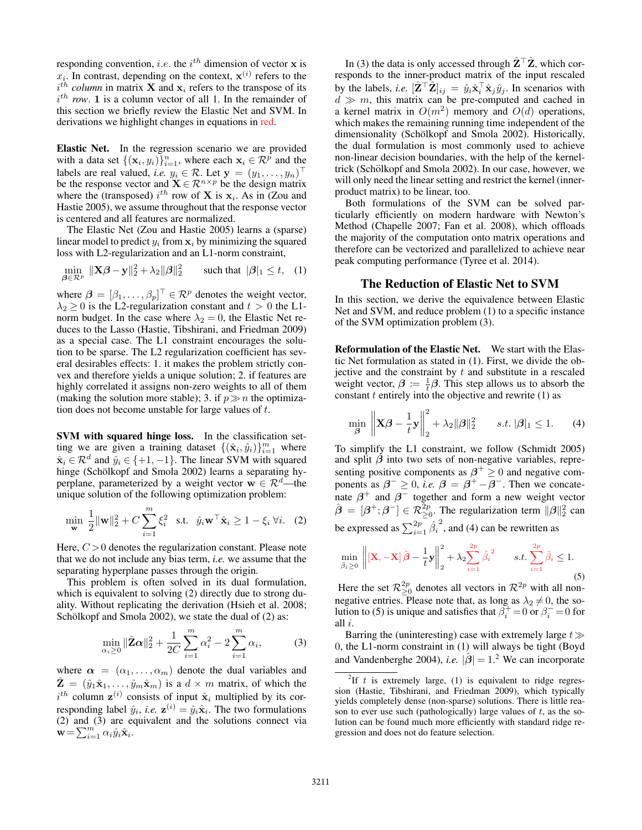responding convention, *i.e.* the  $i^{th}$  dimension of vector **x** is  $x_i$ . In contrast, depending on the context,  $\mathbf{x}^{(i)}$  refers to the  $i^{th}$  *column* in matrix **X** and  $x_i$  refers to the transpose of its  $i^{th}$  row. **1** is a column vector of all 1. In the remainder of this section we briefly review the Elastic Net and SVM. In derivations we highlight changes in equations in red.

Elastic Net. In the regression scenario we are provided with a data set  $\{(\mathbf{x}_i, y_i)\}_{i=1}^n$ , where each  $\mathbf{x}_i \in \mathcal{R}^p$  and the labels are real valued, *i.e.*  $y_i \in \mathcal{R}$ . Let  $\mathbf{y} = (y_1, \dots, y_n)^\top$ be the response vector and  $\mathbf{X} \in \mathbb{R}^{n \times p}$  be the design matrix where the (transposed)  $i^{th}$  row of **X** is  $x_i$ . As in (Zou and Hastie 2005), we assume throughout that the response vector is centered and all features are normalized.

The Elastic Net (Zou and Hastie 2005) learns a (sparse) linear model to predict  $y_i$  from  $x_i$  by minimizing the squared loss with L2-regularization and an L1-norm constraint,

$$
\min_{\boldsymbol{\beta} \in \mathcal{R}^p} \|\mathbf{X}\boldsymbol{\beta} - \mathbf{y}\|_2^2 + \lambda_2 \|\boldsymbol{\beta}\|_2^2 \quad \text{such that } |\boldsymbol{\beta}|_1 \le t, \quad (1)
$$

where  $\beta = [\beta_1, \dots, \beta_p]^\top \in \mathcal{R}^p$  denotes the weight vector,  $\lambda_2 \ge 0$  is the L2-regularization constant and  $t > 0$  the L1norm budget. In the case where  $\lambda_2 = 0$ , the Elastic Net reduces to the Lasso (Hastie, Tibshirani, and Friedman 2009) as a special case. The L1 constraint encourages the solution to be sparse. The L2 regularization coefficient has several desirables effects: 1. it makes the problem strictly convex and therefore yields a unique solution; 2. if features are highly correlated it assigns non-zero weights to all of them (making the solution more stable); 3. if  $p \gg n$  the optimization does not become unstable for large values of  $t$ .

SVM with squared hinge loss. In the classification setting we are given a training dataset  $\{(\hat{\mathbf{x}}_i, \hat{y}_i)\}_{i=1}^m$  where  $\hat{\mathbf{x}}_i \in \mathcal{R}^d$  and  $\hat{y}_i \in \{+1, -1\}$ . The linear SVM with squared hinge (Schölkopf and Smola 2002) learns a separating hyperplane, parameterized by a weight vector **w**  $\in \mathbb{R}^d$ —the unique solution of the following optimization problem:

$$
\min_{\mathbf{w}} \frac{1}{2} \|\mathbf{w}\|_{2}^{2} + C \sum_{i=1}^{m} \xi_{i}^{2} \quad \text{s.t.} \quad \hat{y}_{i} \mathbf{w}^{\top} \hat{\mathbf{x}}_{i} \ge 1 - \xi_{i} \ \forall i. \quad (2)
$$

Here,  $C > 0$  denotes the regularization constant. Please note that we do not include any bias term, *i.e.* we assume that the separating hyperplane passes through the origin.

This problem is often solved in its dual formulation, which is equivalent to solving (2) directly due to strong duality. Without replicating the derivation (Hsieh et al. 2008; Schölkopf and Smola 2002), we state the dual of (2) as:

$$
\min_{\alpha_i \ge 0} \|\hat{\mathbf{Z}}\mathbf{\alpha}\|_2^2 + \frac{1}{2C} \sum_{i=1}^m \alpha_i^2 - 2 \sum_{i=1}^m \alpha_i, \tag{3}
$$

where  $\alpha = (\alpha_1, \dots, \alpha_m)$  denote the dual variables and  $\hat{\mathbf{Z}} = (\hat{y}_1 \hat{\mathbf{x}}_1, \dots, \hat{y}_m \hat{\mathbf{x}}_m)$  is a  $d \times m$  matrix, of which the  $i^{th}$  column  $z^{(i)}$  consists of input  $\hat{x}_i$  multiplied by its corresponding label  $\hat{y}_i$ , *i.e.*  $\mathbf{z}^{(i)} = \hat{y}_i \hat{\mathbf{x}}_i$ . The two formulations (2) and (3) are equivalent and the solutions connect via  $\mathbf{w} = \sum_{i=1}^{m} \alpha_i \hat{y}_i \hat{\mathbf{x}}_i$ .

In (3) the data is only accessed through  $\hat{\mathbf{Z}}^{\top} \hat{\mathbf{Z}}$ , which corresponds to the inner-product matrix of the input rescaled by the labels, *i.e.*  $[\hat{\mathbf{Z}}^{\top} \hat{\mathbf{Z}}]_{ij} = \hat{y}_i \hat{\mathbf{x}}_i^{\top} \hat{\mathbf{x}}_j \hat{y}_j$ . In scenarios with  $d \gg m$ , this matrix can be pre-computed and cached in a kernel matrix in  $O(m^2)$  memory and  $O(d)$  operations, which makes the remaining running time independent of the dimensionality (Schölkopf and Smola 2002). Historically, the dual formulation is most commonly used to achieve non-linear decision boundaries, with the help of the kerneltrick (Schölkopf and Smola 2002). In our case, however, we will only need the linear setting and restrict the kernel (innerproduct matrix) to be linear, too.

Both formulations of the SVM can be solved particularly efficiently on modern hardware with Newton's Method (Chapelle 2007; Fan et al. 2008), which offloads the majority of the computation onto matrix operations and therefore can be vectorized and parallelized to achieve near peak computing performance (Tyree et al. 2014).

#### The Reduction of Elastic Net to SVM

In this section, we derive the equivalence between Elastic Net and SVM, and reduce problem (1) to a specific instance of the SVM optimization problem (3).

Reformulation of the Elastic Net. We start with the Elastic Net formulation as stated in (1). First, we divide the objective and the constraint by  $t$  and substitute in a rescaled weight vector,  $\beta = \frac{1}{t} \beta$ . This step allows us to absorb the constant  $t$  entirely into the objective and rewrite  $(1)$  as

$$
\min_{\boldsymbol{\beta}} \left\| \mathbf{X}\boldsymbol{\beta} - \frac{1}{t}\mathbf{y} \right\|_{2}^{2} + \lambda_{2} \|\boldsymbol{\beta}\|_{2}^{2} \qquad s.t. \|\boldsymbol{\beta}\|_{1} \leq 1. \tag{4}
$$

To simplify the L1 constraint, we follow (Schmidt 2005) and split  $\beta$  into two sets of non-negative variables, representing positive components as  $\beta^+ \geq 0$  and negative components as  $\beta^{-} \geq 0$ , *i.e.*  $\beta = \beta^{+} - \beta^{-}$ . Then we concatenate  $\beta^+$  and  $\beta^-$  together and form a new weight vector  $\hat{\beta} = [\beta^+; \beta^-] \in \mathcal{R}_{\geq 0}^{2p}$ . The regularization term  $||\beta||_2^2$  can be expressed as  $\sum_{i=1}^{2p} \hat{\beta}_i^2$ , and (4) can be rewritten as

$$
\min_{\hat{\beta}_i \ge 0} \left\| \left[ \mathbf{X}, -\mathbf{X} \right] \hat{\boldsymbol{\beta}} - \frac{1}{t} \mathbf{y} \right\|_2^2 + \lambda_2 \sum_{i=1}^{2p} \hat{\beta}_i^2 \qquad s.t. \sum_{i=1}^{2p} \hat{\beta}_i \le 1. \tag{5}
$$

Here the set  $\mathcal{R}^{2p}_{\geq 0}$  denotes all vectors in  $\mathcal{R}^{2p}$  with all nonnegative entries. Please note that, as long as  $\lambda_2 \neq 0$ , the solution to (5) is unique and satisfies that  $\beta_i^+ = 0$  or  $\beta_i^- = 0$  for all i.

Barring the (uninteresting) case with extremely large  $t\gg$ 0, the L1-norm constraint in (1) will always be tight (Boyd and Vandenberghe 2004), *i.e.*  $|\hat{\beta}| = 1$ <sup>2</sup> We can incorporate

<sup>&</sup>lt;sup>2</sup>If t is extremely large, (1) is equivalent to ridge regression (Hastie, Tibshirani, and Friedman 2009), which typically yields completely dense (non-sparse) solutions. There is little reason to ever use such (pathologically) large values of  $t$ , as the solution can be found much more efficiently with standard ridge regression and does not do feature selection.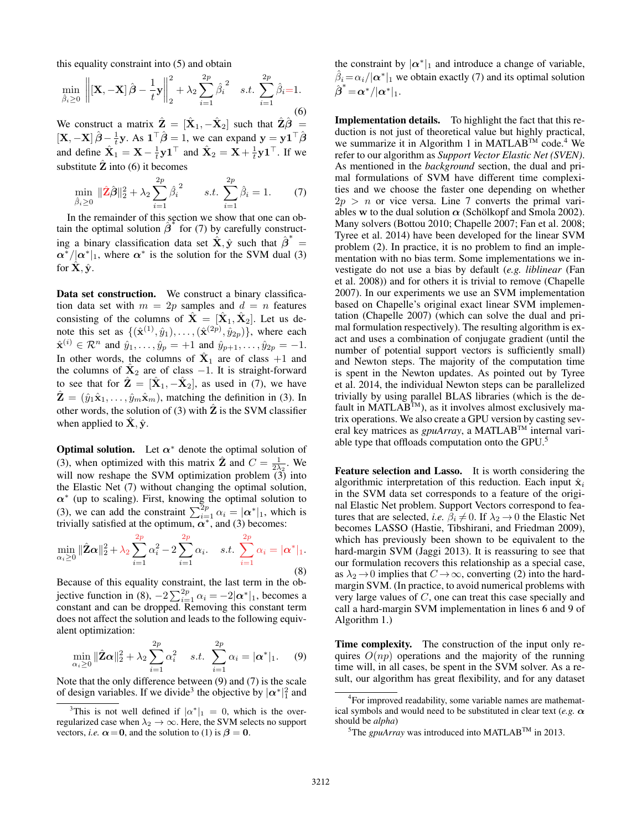this equality constraint into (5) and obtain

$$
\min_{\hat{\beta}_i \ge 0} \left\| \left[ \mathbf{X}, -\mathbf{X} \right] \hat{\boldsymbol{\beta}} - \frac{1}{t} \mathbf{y} \right\|_2^2 + \lambda_2 \sum_{i=1}^{2p} \hat{\beta}_i^2 \quad s.t. \sum_{i=1}^{2p} \hat{\beta}_i = 1. \tag{6}
$$

We construct a matrix  $\hat{\mathbf{Z}} = [\hat{\mathbf{X}}_1, -\hat{\mathbf{X}}_2]$  such that  $\hat{\mathbf{Z}}\hat{\boldsymbol{\beta}} =$  $[\mathbf{X}, -\mathbf{X}] \hat{\boldsymbol{\beta}} - \frac{1}{t} \mathbf{y}$ . As  $\mathbf{1}^\top \hat{\boldsymbol{\beta}} = 1$ , we can expand  $\mathbf{y} = \mathbf{y} \mathbf{1}^\top \hat{\boldsymbol{\beta}}$ and define  $\hat{\mathbf{X}}_1 = \mathbf{X} - \frac{1}{t} \mathbf{y} \mathbf{1}^\top$  and  $\hat{\mathbf{X}}_2 = \mathbf{X} + \frac{1}{t} \mathbf{y} \mathbf{1}^\top$ . If we substitute  $\hat{Z}$  into (6) it becomes

$$
\min_{\hat{\beta}_i \ge 0} \|\hat{\mathbf{Z}}\hat{\boldsymbol{\beta}}\|_2^2 + \lambda_2 \sum_{i=1}^{2p} \hat{\beta}_i^2 \qquad s.t. \sum_{i=1}^{2p} \hat{\beta}_i = 1. \tag{7}
$$

In the remainder of this section we show that one can obtain the optimal solution  $\hat{\beta}^*$  for (7) by carefully constructing a binary classification data set  $\hat{\mathbf{X}}, \hat{\mathbf{y}}$  such that  $\hat{\boldsymbol{\beta}}^* =$  $\alpha^*/|\alpha^*|_1$ , where  $\alpha^*$  is the solution for the SVM dual (3) for  $\mathbf{X}, \hat{\mathbf{y}}$ .

Data set construction. We construct a binary classification data set with  $m = 2p$  samples and  $d = n$  features consisting of the columns of  $\hat{\mathbf{X}} = [\hat{\mathbf{X}}_1, \hat{\mathbf{X}}_2]$ . Let us denote this set as  $\{(\hat{\mathbf{x}}^{(1)}, \hat{y}_1), \ldots, (\hat{\mathbf{x}}^{(2p)}, \hat{y}_{2p})\}$ , where each  $\hat{\mathbf{x}}^{(i)} \in \mathcal{R}^n$  and  $\hat{y}_1, \dots, \hat{y}_p = +1$  and  $\hat{y}_{p+1}, \dots, \hat{y}_{2p} = -1$ . In other words, the columns of  $\hat{\mathbf{X}}_1$  are of class +1 and the columns of  $\mathbf{X}_2$  are of class  $-1$ . It is straight-forward to see that for  $\hat{\mathbf{Z}} = [\hat{\mathbf{X}}_1, -\hat{\mathbf{X}}_2]$ , as used in (7), we have  $\hat{\mathbf{Z}} = (\hat{y}_1 \hat{\mathbf{x}}_1, \dots, \hat{y}_m \hat{\mathbf{x}}_m)$ , matching the definition in (3). In other words, the solution of (3) with  $\hat{Z}$  is the SVM classifier when applied to  $\hat{\mathbf{X}}$ ,  $\hat{\mathbf{y}}$ .

**Optimal solution.** Let  $\alpha^*$  denote the optimal solution of (3), when optimized with this matrix  $\hat{\mathbf{Z}}$  and  $C = \frac{1}{2\lambda_2}$ . We will now reshape the SVM optimization problem  $(3)$  into the Elastic Net (7) without changing the optimal solution, *α*<sup>∗</sup> (up to scaling). First, knowing the optimal solution to (3), we can add the constraint  $\sum_{i=1}^{2p} \alpha_i = |\alpha^*|_1$ , which is trivially satisfied at the optimum,  $\alpha^*$ , and (3) becomes:

$$
\min_{\alpha_i \ge 0} \|\hat{\mathbf{Z}}\mathbf{\alpha}\|_2^2 + \lambda_2 \sum_{i=1}^{2p} \alpha_i^2 - 2 \sum_{i=1}^{2p} \alpha_i. \quad s.t. \sum_{i=1}^{2p} \alpha_i = |\mathbf{\alpha}^*|_1.
$$
\n(8)

Because of this equality constraint, the last term in the objective function in (8),  $-2\sum_{i=1}^{2p} \alpha_i = -2|\alpha^*|_1$ , becomes a constant and can be dropped. Removing this constant term does not affect the solution and leads to the following equivalent optimization:

$$
\min_{\alpha_i \ge 0} \|\hat{\mathbf{Z}} \alpha\|_2^2 + \lambda_2 \sum_{i=1}^{2p} \alpha_i^2 \quad s.t. \sum_{i=1}^{2p} \alpha_i = |\alpha^*|_1. \tag{9}
$$

Note that the only difference between (9) and (7) is the scale of design variables. If we divide<sup>3</sup> the objective by  $|\alpha^*|_1^2$  and

the constraint by  $|\alpha^*|_1$  and introduce a change of variable,  $\beta_i = \alpha_i/|\alpha^*|_1$  we obtain exactly (7) and its optimal solution  $\hat{\boldsymbol{\beta}}^* \!=\! \boldsymbol{\alpha}^*/|\boldsymbol{\alpha}^*|_1.$ 

Implementation details. To highlight the fact that this reduction is not just of theoretical value but highly practical, we summarize it in Algorithm 1 in MATLAB<sup>TM</sup> code.<sup>4</sup> We refer to our algorithm as *Support Vector Elastic Net (SVEN)*. As mentioned in the *background* section, the dual and primal formulations of SVM have different time complexities and we choose the faster one depending on whether  $2p > n$  or vice versa. Line 7 converts the primal variables **w** to the dual solution  $\alpha$  (Schölkopf and Smola 2002). Many solvers (Bottou 2010; Chapelle 2007; Fan et al. 2008; Tyree et al. 2014) have been developed for the linear SVM problem (2). In practice, it is no problem to find an implementation with no bias term. Some implementations we investigate do not use a bias by default (*e.g. liblinear* (Fan et al. 2008)) and for others it is trivial to remove (Chapelle 2007). In our experiments we use an SVM implementation based on Chapelle's original exact linear SVM implementation (Chapelle 2007) (which can solve the dual and primal formulation respectively). The resulting algorithm is exact and uses a combination of conjugate gradient (until the number of potential support vectors is sufficiently small) and Newton steps. The majority of the computation time is spent in the Newton updates. As pointed out by Tyree et al. 2014, the individual Newton steps can be parallelized trivially by using parallel BLAS libraries (which is the default in  $\text{MATLAB}^{\text{TM}}$ ), as it involves almost exclusively matrix operations. We also create a GPU version by casting several key matrices as *gpuArray*, a MATLABTM internal variable type that offloads computation onto the GPU.5

Feature selection and Lasso. It is worth considering the algorithmic interpretation of this reduction. Each input  $\hat{\mathbf{x}}_i$ in the SVM data set corresponds to a feature of the original Elastic Net problem. Support Vectors correspond to features that are selected, *i.e.*  $\beta_i \neq 0$ . If  $\lambda_2 \rightarrow 0$  the Elastic Net becomes LASSO (Hastie, Tibshirani, and Friedman 2009), which has previously been shown to be equivalent to the hard-margin SVM (Jaggi 2013). It is reassuring to see that our formulation recovers this relationship as a special case, as  $\lambda_2 \rightarrow 0$  implies that  $C \rightarrow \infty$ , converting (2) into the hardmargin SVM. (In practice, to avoid numerical problems with very large values of C, one can treat this case specially and call a hard-margin SVM implementation in lines 6 and 9 of Algorithm 1.)

Time complexity. The construction of the input only requires  $O(np)$  operations and the majority of the running time will, in all cases, be spent in the SVM solver. As a result, our algorithm has great flexibility, and for any dataset

<sup>&</sup>lt;sup>3</sup>This is not well defined if  $|\alpha^*|_1 = 0$ , which is the overregularized case when  $\lambda_2 \to \infty$ . Here, the SVM selects no support vectors, *i.e.*  $\alpha = 0$ , and the solution to (1) is  $\beta = 0$ .

<sup>&</sup>lt;sup>4</sup>For improved readability, some variable names are mathematical symbols and would need to be substituted in clear text (*e.g. α* should be *alpha*)

<sup>&</sup>lt;sup>5</sup>The *gpuArray* was introduced into MATLAB<sup>TM</sup> in 2013.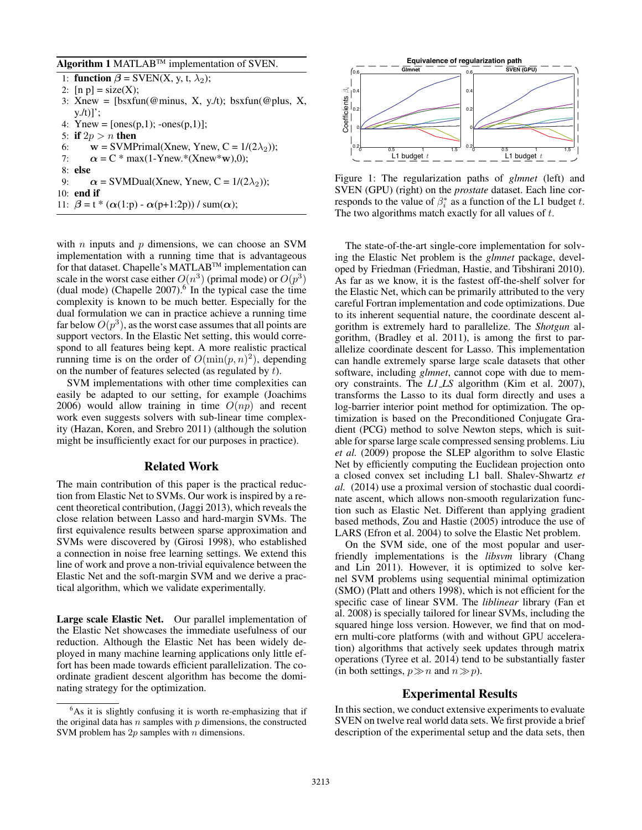#### Algorithm 1 MATLAB<sup>TM</sup> implementation of SVEN.

- 1: **function**  $\beta$  = SVEN(X, y, t,  $\lambda_2$ ); 2:  $[n p] = size(X);$
- 3: Xnew =  $[bsxtun(@minus, X, y.lt); bsxtun(@plus, X,$  $y.(t)]$ ;
- 4: Ynew =  $[ones(p,1); -ones(p,1)];$
- 5: if  $2p > n$  then
- 6:  $\mathbf{w} = \text{SVMPrimal}(Xnew, Ynew, C = 1/(2\lambda_2));$
- 7:  $\alpha = C * \max(1-Ynew.*(Xnew*w),0);$
- 8: else
- 9:  $\alpha = \text{SVMDual}(\text{Xnew}, \text{Ynew}, \text{C} = 1/(2\lambda_2));$
- 10: end if
- 11:  $\beta = t * (\alpha(1:p) \alpha(p+1:2p)) / \text{sum}(\alpha);$

with  $n$  inputs and  $p$  dimensions, we can choose an SVM implementation with a running time that is advantageous for that dataset. Chapelle's MATLABTM implementation can scale in the worst case either  $O(n^3)$  (primal mode) or  $O(p^3)$ (dual mode) (Chapelle  $2007$ ).<sup>6</sup> In the typical case the time complexity is known to be much better. Especially for the dual formulation we can in practice achieve a running time far below  $O(p^3)$ , as the worst case assumes that all points are support vectors. In the Elastic Net setting, this would correspond to all features being kept. A more realistic practical running time is on the order of  $O(\min(p, n)^2)$ , depending on the number of features selected (as regulated by t).

SVM implementations with other time complexities can easily be adapted to our setting, for example (Joachims 2006) would allow training in time  $O(np)$  and recent work even suggests solvers with sub-linear time complexity (Hazan, Koren, and Srebro 2011) (although the solution might be insufficiently exact for our purposes in practice).

### Related Work

The main contribution of this paper is the practical reduction from Elastic Net to SVMs. Our work is inspired by a recent theoretical contribution, (Jaggi 2013), which reveals the close relation between Lasso and hard-margin SVMs. The first equivalence results between sparse approximation and SVMs were discovered by (Girosi 1998), who established a connection in noise free learning settings. We extend this line of work and prove a non-trivial equivalence between the Elastic Net and the soft-margin SVM and we derive a practical algorithm, which we validate experimentally.

Large scale Elastic Net. Our parallel implementation of the Elastic Net showcases the immediate usefulness of our reduction. Although the Elastic Net has been widely deployed in many machine learning applications only little effort has been made towards efficient parallelization. The coordinate gradient descent algorithm has become the dominating strategy for the optimization.



Figure 1: The regularization paths of *glmnet* (left) and SVEN (GPU) (right) on the *prostate* dataset. Each line corresponds to the value of  $\beta_i^*$  as a function of the L1 budget t. The two algorithms match exactly for all values of  $t$ .

The state-of-the-art single-core implementation for solving the Elastic Net problem is the *glmnet* package, developed by Friedman (Friedman, Hastie, and Tibshirani 2010). As far as we know, it is the fastest off-the-shelf solver for the Elastic Net, which can be primarily attributed to the very careful Fortran implementation and code optimizations. Due to its inherent sequential nature, the coordinate descent algorithm is extremely hard to parallelize. The *Shotgun* algorithm, (Bradley et al. 2011), is among the first to parallelize coordinate descent for Lasso. This implementation can handle extremely sparse large scale datasets that other software, including *glmnet*, cannot cope with due to memory constraints. The *L1 LS* algorithm (Kim et al. 2007), transforms the Lasso to its dual form directly and uses a log-barrier interior point method for optimization. The optimization is based on the Preconditioned Conjugate Gradient (PCG) method to solve Newton steps, which is suitable for sparse large scale compressed sensing problems. Liu *et al.* (2009) propose the SLEP algorithm to solve Elastic Net by efficiently computing the Euclidean projection onto a closed convex set including L1 ball. Shalev-Shwartz *et al.* (2014) use a proximal version of stochastic dual coordinate ascent, which allows non-smooth regularization function such as Elastic Net. Different than applying gradient based methods, Zou and Hastie (2005) introduce the use of LARS (Efron et al. 2004) to solve the Elastic Net problem.

On the SVM side, one of the most popular and userfriendly implementations is the *libsvm* library (Chang and Lin 2011). However, it is optimized to solve kernel SVM problems using sequential minimal optimization (SMO) (Platt and others 1998), which is not efficient for the specific case of linear SVM. The *liblinear* library (Fan et al. 2008) is specially tailored for linear SVMs, including the squared hinge loss version. However, we find that on modern multi-core platforms (with and without GPU acceleration) algorithms that actively seek updates through matrix operations (Tyree et al. 2014) tend to be substantially faster (in both settings,  $p \gg n$  and  $n \gg p$ ).

### Experimental Results

In this section, we conduct extensive experiments to evaluate SVEN on twelve real world data sets. We first provide a brief description of the experimental setup and the data sets, then

<sup>&</sup>lt;sup>6</sup>As it is slightly confusing it is worth re-emphasizing that if the original data has  $n$  samples with  $p$  dimensions, the constructed SVM problem has  $2p$  samples with n dimensions.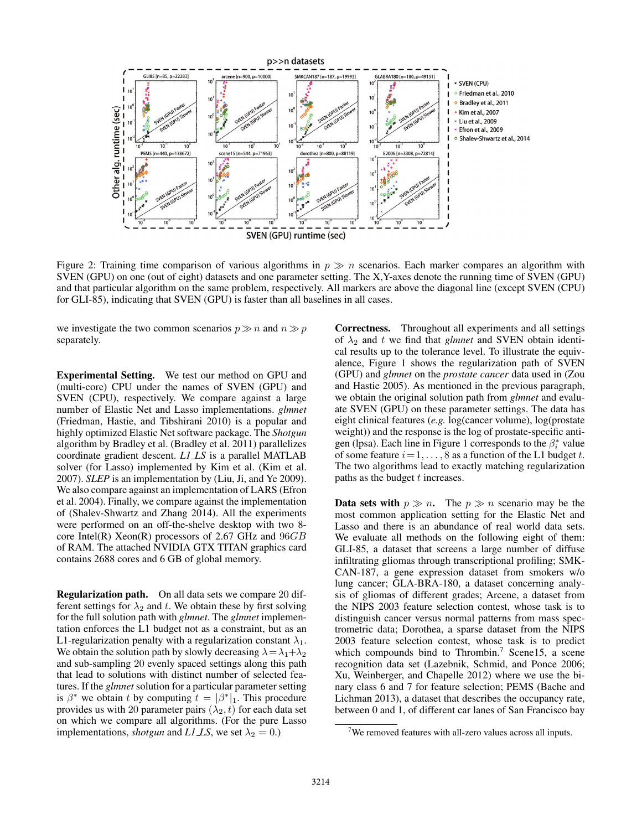

Figure 2: Training time comparison of various algorithms in  $p \gg n$  scenarios. Each marker compares an algorithm with SVEN (GPU) on one (out of eight) datasets and one parameter setting. The X,Y-axes denote the running time of SVEN (GPU) and that particular algorithm on the same problem, respectively. All markers are above the diagonal line (except SVEN (CPU) for GLI-85), indicating that SVEN (GPU) is faster than all baselines in all cases.

we investigate the two common scenarios  $p \gg n$  and  $n \gg p$ separately.

Experimental Setting. We test our method on GPU and (multi-core) CPU under the names of SVEN (GPU) and SVEN (CPU), respectively. We compare against a large number of Elastic Net and Lasso implementations. *glmnet* (Friedman, Hastie, and Tibshirani 2010) is a popular and highly optimized Elastic Net software package. The *Shotgun* algorithm by Bradley et al. (Bradley et al. 2011) parallelizes coordinate gradient descent. *L1 LS* is a parallel MATLAB solver (for Lasso) implemented by Kim et al. (Kim et al. 2007). *SLEP* is an implementation by (Liu, Ji, and Ye 2009). We also compare against an implementation of LARS (Efron et al. 2004). Finally, we compare against the implementation of (Shalev-Shwartz and Zhang 2014). All the experiments were performed on an off-the-shelve desktop with two 8 core Intel(R) Xeon(R) processors of 2.67 GHz and  $96GB$ of RAM. The attached NVIDIA GTX TITAN graphics card contains 2688 cores and 6 GB of global memory.

Regularization path. On all data sets we compare 20 different settings for  $\lambda_2$  and t. We obtain these by first solving for the full solution path with *glmnet*. The *glmnet* implementation enforces the L1 budget not as a constraint, but as an L1-regularization penalty with a regularization constant  $\lambda_1$ . We obtain the solution path by slowly decreasing  $\lambda = \lambda_1 + \lambda_2$ and sub-sampling 20 evenly spaced settings along this path that lead to solutions with distinct number of selected features. If the *glmnet* solution for a particular parameter setting is  $\beta^*$  we obtain t by computing  $t = |\beta^*|_1$ . This procedure provides us with 20 parameter pairs  $(\lambda_2, t)$  for each data set on which we compare all algorithms. (For the pure Lasso implementations, *shotgun* and *L1 LS*, we set  $\lambda_2 = 0$ .)

Correctness. Throughout all experiments and all settings of  $\lambda_2$  and t we find that *glmnet* and SVEN obtain identical results up to the tolerance level. To illustrate the equivalence, Figure 1 shows the regularization path of SVEN (GPU) and *glmnet* on the *prostate cancer* data used in (Zou and Hastie 2005). As mentioned in the previous paragraph, we obtain the original solution path from *glmnet* and evaluate SVEN (GPU) on these parameter settings. The data has eight clinical features (*e.g.* log(cancer volume), log(prostate weight)) and the response is the log of prostate-specific antigen (lpsa). Each line in Figure 1 corresponds to the  $\beta_i^*$  value of some feature  $i = 1, \ldots, 8$  as a function of the L1 budget t. The two algorithms lead to exactly matching regularization paths as the budget t increases.

**Data sets with**  $p \gg n$ . The  $p \gg n$  scenario may be the most common application setting for the Elastic Net and Lasso and there is an abundance of real world data sets. We evaluate all methods on the following eight of them: GLI-85, a dataset that screens a large number of diffuse infiltrating gliomas through transcriptional profiling; SMK-CAN-187, a gene expression dataset from smokers w/o lung cancer; GLA-BRA-180, a dataset concerning analysis of gliomas of different grades; Arcene, a dataset from the NIPS 2003 feature selection contest, whose task is to distinguish cancer versus normal patterns from mass spectrometric data; Dorothea, a sparse dataset from the NIPS 2003 feature selection contest, whose task is to predict which compounds bind to Thrombin.<sup>7</sup> Scene15, a scene recognition data set (Lazebnik, Schmid, and Ponce 2006; Xu, Weinberger, and Chapelle 2012) where we use the binary class 6 and 7 for feature selection; PEMS (Bache and Lichman 2013), a dataset that describes the occupancy rate, between 0 and 1, of different car lanes of San Francisco bay

 $7$ We removed features with all-zero values across all inputs.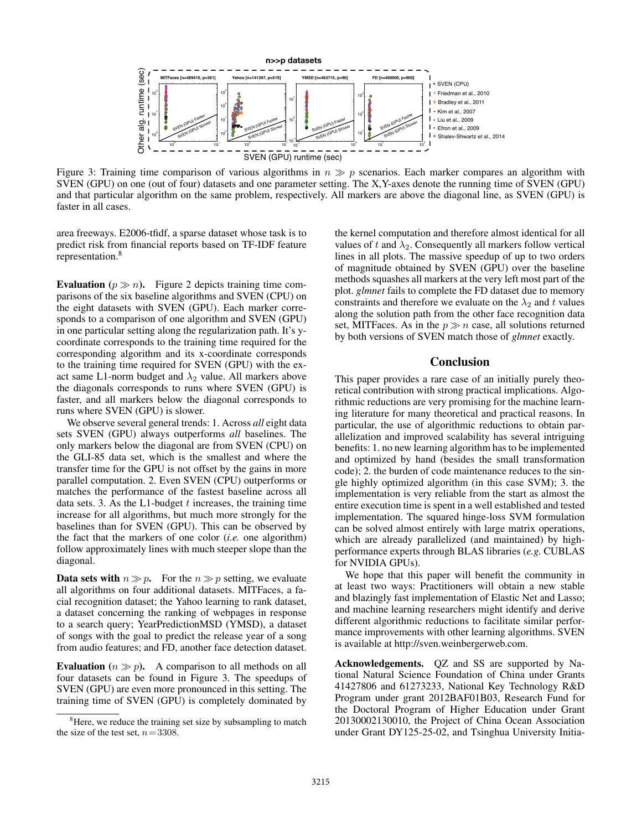

Figure 3: Training time comparison of various algorithms in  $n \gg p$  scenarios. Each marker compares an algorithm with SVEN (GPU) on one (out of four) datasets and one parameter setting. The X,Y-axes denote the running time of SVEN (GPU) and that particular algorithm on the same problem, respectively. All markers are above the diagonal line, as SVEN (GPU) is faster in all cases.

area freeways. E2006-tfidf, a sparse dataset whose task is to predict risk from financial reports based on TF-IDF feature representation.<sup>8</sup>

Evaluation ( $p \gg n$ ). Figure 2 depicts training time comparisons of the six baseline algorithms and SVEN (CPU) on the eight datasets with SVEN (GPU). Each marker corresponds to a comparison of one algorithm and SVEN (GPU) in one particular setting along the regularization path. It's ycoordinate corresponds to the training time required for the corresponding algorithm and its x-coordinate corresponds to the training time required for SVEN (GPU) with the exact same L1-norm budget and  $\lambda_2$  value. All markers above the diagonals corresponds to runs where SVEN (GPU) is faster, and all markers below the diagonal corresponds to runs where SVEN (GPU) is slower.

We observe several general trends: 1. Across *all* eight data sets SVEN (GPU) always outperforms *all* baselines. The only markers below the diagonal are from SVEN (CPU) on the GLI-85 data set, which is the smallest and where the transfer time for the GPU is not offset by the gains in more parallel computation. 2. Even SVEN (CPU) outperforms or matches the performance of the fastest baseline across all data sets. 3. As the L1-budget  $t$  increases, the training time increase for all algorithms, but much more strongly for the baselines than for SVEN (GPU). This can be observed by the fact that the markers of one color (*i.e.* one algorithm) follow approximately lines with much steeper slope than the diagonal.

**Data sets with**  $n \gg p$ . For the  $n \gg p$  setting, we evaluate all algorithms on four additional datasets. MITFaces, a facial recognition dataset; the Yahoo learning to rank dataset, a dataset concerning the ranking of webpages in response to a search query; YearPredictionMSD (YMSD), a dataset of songs with the goal to predict the release year of a song from audio features; and FD, another face detection dataset.

**Evaluation** ( $n \gg p$ ). A comparison to all methods on all four datasets can be found in Figure 3. The speedups of SVEN (GPU) are even more pronounced in this setting. The training time of SVEN (GPU) is completely dominated by

the kernel computation and therefore almost identical for all values of t and  $\lambda_2$ . Consequently all markers follow vertical lines in all plots. The massive speedup of up to two orders of magnitude obtained by SVEN (GPU) over the baseline methods squashes all markers at the very left most part of the plot. *glmnet* fails to complete the FD dataset due to memory constraints and therefore we evaluate on the  $\lambda_2$  and t values along the solution path from the other face recognition data set, MITFaces. As in the  $p \gg n$  case, all solutions returned by both versions of SVEN match those of *glmnet* exactly.

## Conclusion

This paper provides a rare case of an initially purely theoretical contribution with strong practical implications. Algorithmic reductions are very promising for the machine learning literature for many theoretical and practical reasons. In particular, the use of algorithmic reductions to obtain parallelization and improved scalability has several intriguing benefits: 1. no new learning algorithm has to be implemented and optimized by hand (besides the small transformation code); 2. the burden of code maintenance reduces to the single highly optimized algorithm (in this case SVM); 3. the implementation is very reliable from the start as almost the entire execution time is spent in a well established and tested implementation. The squared hinge-loss SVM formulation can be solved almost entirely with large matrix operations, which are already parallelized (and maintained) by highperformance experts through BLAS libraries (*e.g.* CUBLAS for NVIDIA GPUs).

We hope that this paper will benefit the community in at least two ways: Practitioners will obtain a new stable and blazingly fast implementation of Elastic Net and Lasso; and machine learning researchers might identify and derive different algorithmic reductions to facilitate similar performance improvements with other learning algorithms. SVEN is available at http://sven.weinbergerweb.com.

Acknowledgements. QZ and SS are supported by National Natural Science Foundation of China under Grants 41427806 and 61273233, National Key Technology R&D Program under grant 2012BAF01B03, Research Fund for the Doctoral Program of Higher Education under Grant 20130002130010, the Project of China Ocean Association under Grant DY125-25-02, and Tsinghua University Initia-

<sup>&</sup>lt;sup>8</sup>Here, we reduce the training set size by subsampling to match the size of the test set,  $n = 3308$ .